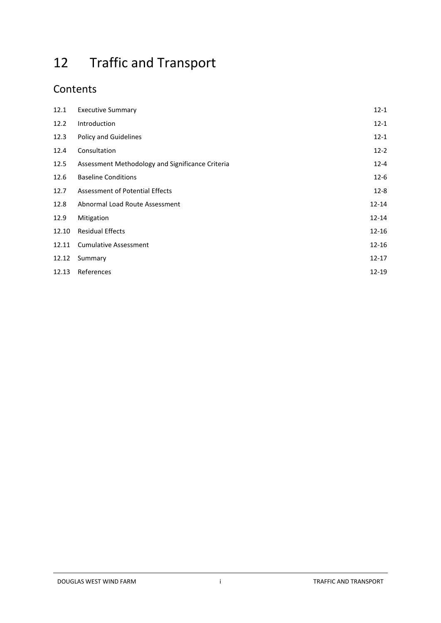# 12 Traffic and Transport

# **Contents**

| 12.1  | <b>Executive Summary</b>                         | $12 - 1$  |
|-------|--------------------------------------------------|-----------|
| 12.2  | Introduction                                     | $12 - 1$  |
| 12.3  | Policy and Guidelines                            | $12 - 1$  |
| 12.4  | Consultation                                     | $12 - 2$  |
| 12.5  | Assessment Methodology and Significance Criteria | $12 - 4$  |
| 12.6  | <b>Baseline Conditions</b>                       | $12 - 6$  |
| 12.7  | Assessment of Potential Effects                  | $12 - 8$  |
| 12.8  | Abnormal Load Route Assessment                   | $12 - 14$ |
| 12.9  | Mitigation                                       | $12 - 14$ |
| 12.10 | <b>Residual Effects</b>                          | $12 - 16$ |
| 12.11 | <b>Cumulative Assessment</b>                     | $12 - 16$ |
| 12.12 | Summary                                          | $12 - 17$ |
| 12.13 | References                                       | 12-19     |
|       |                                                  |           |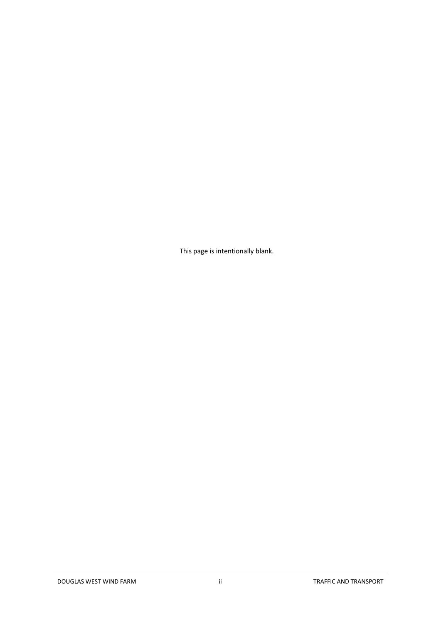This page is intentionally blank.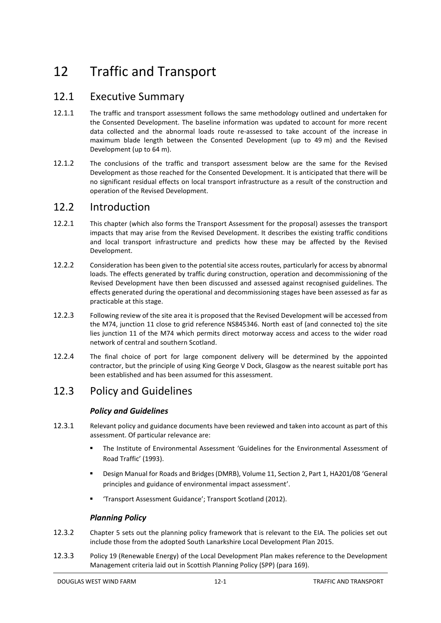# 12 Traffic and Transport

## <span id="page-2-0"></span>12.1 Executive Summary

- 12.1.1 The traffic and transport assessment follows the same methodology outlined and undertaken for the Consented Development. The baseline information was updated to account for more recent data collected and the abnormal loads route re-assessed to take account of the increase in maximum blade length between the Consented Development (up to 49 m) and the Revised Development (up to 64 m).
- 12.1.2 The conclusions of the traffic and transport assessment below are the same for the Revised Development as those reached for the Consented Development. It is anticipated that there will be no significant residual effects on local transport infrastructure as a result of the construction and operation of the Revised Development.

### <span id="page-2-1"></span>12.2 Introduction

- 12.2.1 This chapter (which also forms the Transport Assessment for the proposal) assesses the transport impacts that may arise from the Revised Development. It describes the existing traffic conditions and local transport infrastructure and predicts how these may be affected by the Revised Development.
- 12.2.2 Consideration has been given to the potential site access routes, particularly for access by abnormal loads. The effects generated by traffic during construction, operation and decommissioning of the Revised Development have then been discussed and assessed against recognised guidelines. The effects generated during the operational and decommissioning stages have been assessed as far as practicable at this stage.
- 12.2.3 Following review of the site area it is proposed that the Revised Development will be accessed from the M74, junction 11 close to grid reference NS845346. North east of (and connected to) the site lies junction 11 of the M74 which permits direct motorway access and access to the wider road network of central and southern Scotland.
- 12.2.4 The final choice of port for large component delivery will be determined by the appointed contractor, but the principle of using King George V Dock, Glasgow as the nearest suitable port has been established and has been assumed for this assessment.

## <span id="page-2-2"></span>12.3 Policy and Guidelines

#### *Policy and Guidelines*

- 12.3.1 Relevant policy and guidance documents have been reviewed and taken into account as part of this assessment. Of particular relevance are:
	- The Institute of Environmental Assessment 'Guidelines for the Environmental Assessment of Road Traffic' (1993).
	- Design Manual for Roads and Bridges (DMRB), Volume 11, Section 2, Part 1, HA201/08 'General principles and guidance of environmental impact assessment'.
	- 'Transport Assessment Guidance'; Transport Scotland (2012).

#### *Planning Policy*

- 12.3.2 Chapter 5 sets out the planning policy framework that is relevant to the EIA. The policies set out include those from the adopted South Lanarkshire Local Development Plan 2015.
- 12.3.3 Policy 19 (Renewable Energy) of the Local Development Plan makes reference to the Development Management criteria laid out in Scottish Planning Policy (SPP) (para 169).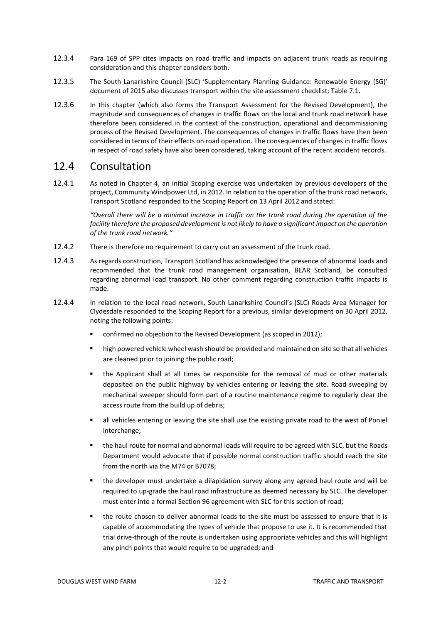- 12.3.4 Para 169 of SPP cites impacts on road traffic and impacts on adjacent trunk roads as requiring consideration and this chapter considers both.
- 12.3.5 The South Lanarkshire Council (SLC) 'Supplementary Planning Guidance: Renewable Energy (SG)' document of 2015 also discusses transport within the site assessment checklist; Table 7.1.
- 12.3.6 In this chapter (which also forms the Transport Assessment for the Revised Development), the magnitude and consequences of changes in traffic flows on the local and trunk road network have therefore been considered in the context of the construction, operational and decommissioning process of the Revised Development. The consequences of changes in traffic flows have then been considered in terms of their effects on road operation. The consequences of changes in traffic flows in respect of road safety have also been considered, taking account of the recent accident records.

### <span id="page-3-0"></span>12.4 Consultation

12.4.1 As noted in Chapter 4, an initial Scoping exercise was undertaken by previous developers of the project, Community Windpower Ltd, in 2012. In relation to the operation of the trunk road network, Transport Scotland responded to the Scoping Report on 13 April 2012 and stated:

> *"Overall there will be a minimal increase in traffic on the trunk road during the operation of the facility therefore the proposed development is not likely to have a significant impact on the operation of the trunk road network."*

- 12.4.2 There is therefore no requirement to carry out an assessment of the trunk road.
- 12.4.3 As regards construction, Transport Scotland has acknowledged the presence of abnormal loads and recommended that the trunk road management organisation, BEAR Scotland, be consulted regarding abnormal load transport. No other comment regarding construction traffic impacts is made.
- 12.4.4 In relation to the local road network, South Lanarkshire Council's (SLC) Roads Area Manager for Clydesdale responded to the Scoping Report for a previous, similar development on 30 April 2012, noting the following points:
	- **•** confirmed no objection to the Revised Development (as scoped in 2012);
	- high powered vehicle wheel wash should be provided and maintained on site so that all vehicles are cleaned prior to joining the public road;
	- the Applicant shall at all times be responsible for the removal of mud or other materials deposited on the public highway by vehicles entering or leaving the site. Road sweeping by mechanical sweeper should form part of a routine maintenance regime to regularly clear the access route from the build up of debris;
	- **EXECT** all vehicles entering or leaving the site shall use the existing private road to the west of Poniel interchange;
	- the haul route for normal and abnormal loads will require to be agreed with SLC, but the Roads Department would advocate that if possible normal construction traffic should reach the site from the north via the M74 or B7078;
	- the developer must undertake a dilapidation survey along any agreed haul route and will be required to up-grade the haul road infrastructure as deemed necessary by SLC. The developer must enter into a formal Section 96 agreement with SLC for this section of road;
	- the route chosen to deliver abnormal loads to the site must be assessed to ensure that it is capable of accommodating the types of vehicle that propose to use it. It is recommended that trial drive-through of the route is undertaken using appropriate vehicles and this will highlight any pinch points that would require to be upgraded; and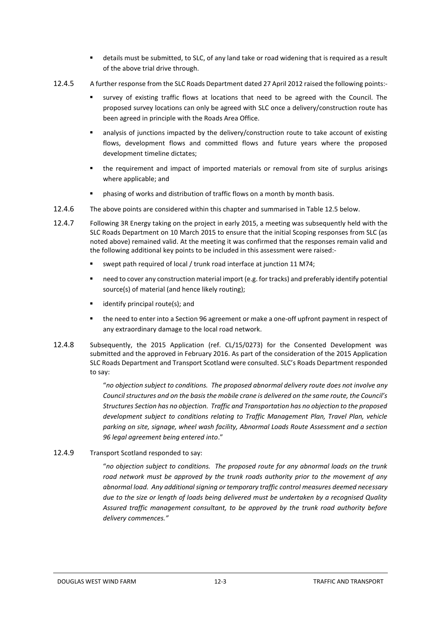- details must be submitted, to SLC, of any land take or road widening that is required as a result of the above trial drive through.
- 12.4.5 A further response from the SLC Roads Department dated 27 April 2012 raised the following points:
	- survey of existing traffic flows at locations that need to be agreed with the Council. The proposed survey locations can only be agreed with SLC once a delivery/construction route has been agreed in principle with the Roads Area Office.
	- analysis of junctions impacted by the delivery/construction route to take account of existing flows, development flows and committed flows and future years where the proposed development timeline dictates;
	- the requirement and impact of imported materials or removal from site of surplus arisings where applicable; and
	- phasing of works and distribution of traffic flows on a month by month basis.
- 12.4.6 The above points are considered within this chapter and summarised in Table 12.5 below.
- 12.4.7 Following 3R Energy taking on the project in early 2015, a meeting was subsequently held with the SLC Roads Department on 10 March 2015 to ensure that the initial Scoping responses from SLC (as noted above) remained valid. At the meeting it was confirmed that the responses remain valid and the following additional key points to be included in this assessment were raised:
	- swept path required of local / trunk road interface at junction 11 M74;
	- need to cover any construction material import (e.g. for tracks) and preferably identify potential source(s) of material (and hence likely routing);
	- $\blacksquare$  identify principal route(s); and
	- the need to enter into a Section 96 agreement or make a one-off upfront payment in respect of any extraordinary damage to the local road network.
- 12.4.8 Subsequently, the 2015 Application (ref. CL/15/0273) for the Consented Development was submitted and the approved in February 2016. As part of the consideration of the 2015 Application SLC Roads Department and Transport Scotland were consulted. SLC's Roads Department responded to say:

"*no objection subject to conditions. The proposed abnormal delivery route does not involve any Council structures and on the basis the mobile crane is delivered on the same route, the Council's Structures Section has no objection. Traffic and Transportation has no objection to the proposed development subject to conditions relating to Traffic Management Plan, Travel Plan, vehicle parking on site, signage, wheel wash facility, Abnormal Loads Route Assessment and a section 96 legal agreement being entered into*."

12.4.9 Transport Scotland responded to say:

"*no objection subject to conditions. The proposed route for any abnormal loads on the trunk road network must be approved by the trunk roads authority prior to the movement of any abnormal load. Any additional signing or temporary traffic control measures deemed necessary due to the size or length of loads being delivered must be undertaken by a recognised Quality Assured traffic management consultant, to be approved by the trunk road authority before delivery commences."*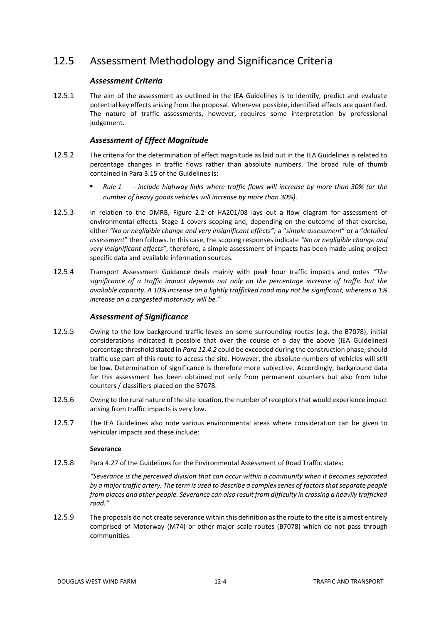# <span id="page-5-0"></span>12.5 Assessment Methodology and Significance Criteria

#### *Assessment Criteria*

12.5.1 The aim of the assessment as outlined in the IEA Guidelines is to identify, predict and evaluate potential key effects arising from the proposal. Wherever possible, identified effects are quantified. The nature of traffic assessments, however, requires some interpretation by professional judgement.

#### *Assessment of Effect Magnitude*

- 12.5.2 The criteria for the determination of effect magnitude as laid out in the IEA Guidelines is related to percentage changes in traffic flows rather than absolute numbers. The broad rule of thumb contained in Para 3.15 of the Guidelines is:
	- *Rule 1 - include highway links where traffic flows will increase by more than 30% (or the number of heavy goods vehicles will increase by more than 30%).*
- 12.5.3 In relation to the DMRB, Figure 2.2 of HA201/08 lays out a flow diagram for assessment of environmental effects. Stage 1 covers scoping and, depending on the outcome of that exercise, either *"No or negligible change and very insignificant effects";* a "*simple assessment*" or a "*detailed assessment*" then follows. In this case, the scoping responses indicate *"No or negligible change and very insignificant effects"*, therefore, a simple assessment of impacts has been made using project specific data and available information sources.
- 12.5.4 Transport Assessment Guidance deals mainly with peak hour traffic impacts and notes *"The significance of a traffic impact depends not only on the percentage increase of traffic but the available capacity. A 10% increase on a lightly trafficked road may not be significant, whereas a 1% increase on a congested motorway will be."*

#### *Assessment of Significance*

- 12.5.5 Owing to the low background traffic levels on some surrounding routes (e.g. the B7078), initial considerations indicated it possible that over the course of a day the above (IEA Guidelines) percentage threshold stated in *Para 12.4.2* could be exceeded during the construction phase, should traffic use part of this route to access the site. However, the absolute numbers of vehicles will still be low. Determination of significance is therefore more subjective. Accordingly, background data for this assessment has been obtained not only from permanent counters but also from tube counters / classifiers placed on the B7078.
- 12.5.6 Owing to the rural nature of the site location, the number of receptors that would experience impact arising from traffic impacts is very low.
- 12.5.7 The IEA Guidelines also note various environmental areas where consideration can be given to vehicular impacts and these include:

#### **Severance**

12.5.8 Para 4.27 of the Guidelines for the Environmental Assessment of Road Traffic states:

*"Severance is the perceived division that can occur within a community when it becomes separated by a major traffic artery. The term is used to describe a complex series of factors that separate people from places and other people. Severance can also result from difficulty in crossing a heavily trafficked road."*

12.5.9 The proposals do not create severance within this definition as the route to the site is almost entirely comprised of Motorway (M74) or other major scale routes (B7078) which do not pass through communities.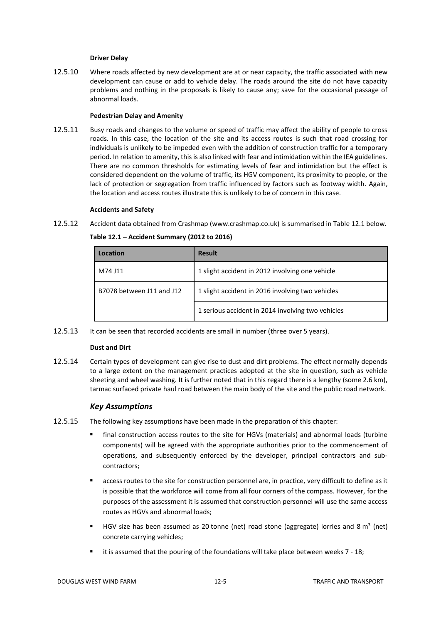#### **Driver Delay**

12.5.10 Where roads affected by new development are at or near capacity, the traffic associated with new development can cause or add to vehicle delay. The roads around the site do not have capacity problems and nothing in the proposals is likely to cause any; save for the occasional passage of abnormal loads.

#### **Pedestrian Delay and Amenity**

12.5.11 Busy roads and changes to the volume or speed of traffic may affect the ability of people to cross roads. In this case, the location of the site and its access routes is such that road crossing for individuals is unlikely to be impeded even with the addition of construction traffic for a temporary period. In relation to amenity, this is also linked with fear and intimidation within the IEA guidelines. There are no common thresholds for estimating levels of fear and intimidation but the effect is considered dependent on the volume of traffic, its HGV component, its proximity to people, or the lack of protection or segregation from traffic influenced by factors such as footway width. Again, the location and access routes illustrate this is unlikely to be of concern in this case.

#### **Accidents and Safety**

12.5.12 Accident data obtained from Crashmap (www.crashmap.co.uk) is summarised in Table 12.1 below.

| Location                  | <b>Result</b>                                     |
|---------------------------|---------------------------------------------------|
| M74 J11                   | 1 slight accident in 2012 involving one vehicle   |
| B7078 between J11 and J12 | 1 slight accident in 2016 involving two vehicles  |
|                           | 1 serious accident in 2014 involving two vehicles |

#### **Table 12.1 – Accident Summary (2012 to 2016)**

12.5.13 It can be seen that recorded accidents are small in number (three over 5 years).

#### **Dust and Dirt**

12.5.14 Certain types of development can give rise to dust and dirt problems. The effect normally depends to a large extent on the management practices adopted at the site in question, such as vehicle sheeting and wheel washing. It is further noted that in this regard there is a lengthy (some 2.6 km), tarmac surfaced private haul road between the main body of the site and the public road network.

#### *Key Assumptions*

- 12.5.15 The following key assumptions have been made in the preparation of this chapter:
	- final construction access routes to the site for HGVs (materials) and abnormal loads (turbine components) will be agreed with the appropriate authorities prior to the commencement of operations, and subsequently enforced by the developer, principal contractors and subcontractors;
	- access routes to the site for construction personnel are, in practice, very difficult to define as it is possible that the workforce will come from all four corners of the compass. However, for the purposes of the assessment it is assumed that construction personnel will use the same access routes as HGVs and abnormal loads;
	- $\blacksquare$  HGV size has been assumed as 20 tonne (net) road stone (aggregate) lorries and 8 m<sup>3</sup> (net) concrete carrying vehicles;
	- it is assumed that the pouring of the foundations will take place between weeks 7 18;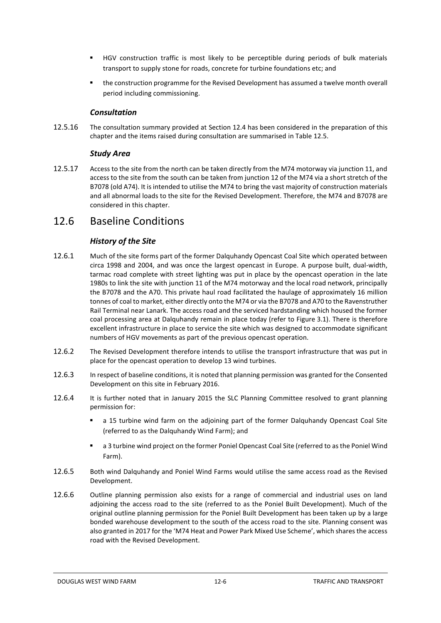- HGV construction traffic is most likely to be perceptible during periods of bulk materials transport to supply stone for roads, concrete for turbine foundations etc; and
- the construction programme for the Revised Development has assumed a twelve month overall period including commissioning.

#### *Consultation*

12.5.16 The consultation summary provided at Section 12.4 has been considered in the preparation of this chapter and the items raised during consultation are summarised in Table 12.5.

#### *Study Area*

12.5.17 Access to the site from the north can be taken directly from the M74 motorway via junction 11, and access to the site from the south can be taken from junction 12 of the M74 via a short stretch of the B7078 (old A74). It is intended to utilise the M74 to bring the vast majority of construction materials and all abnormal loads to the site for the Revised Development. Therefore, the M74 and B7078 are considered in this chapter.

### <span id="page-7-0"></span>12.6 Baseline Conditions

#### *History of the Site*

- 12.6.1 Much of the site forms part of the former Dalquhandy Opencast Coal Site which operated between circa 1998 and 2004, and was once the largest opencast in Europe. A purpose built, dual-width, tarmac road complete with street lighting was put in place by the opencast operation in the late 1980s to link the site with junction 11 of the M74 motorway and the local road network, principally the B7078 and the A70. This private haul road facilitated the haulage of approximately 16 million tonnes of coal to market, either directly onto the M74 or via the B7078 and A70 to the Ravenstruther Rail Terminal near Lanark. The access road and the serviced hardstanding which housed the former coal processing area at Dalquhandy remain in place today (refer to Figure 3.1). There is therefore excellent infrastructure in place to service the site which was designed to accommodate significant numbers of HGV movements as part of the previous opencast operation.
- 12.6.2 The Revised Development therefore intends to utilise the transport infrastructure that was put in place for the opencast operation to develop 13 wind turbines.
- 12.6.3 In respect of baseline conditions, it is noted that planning permission was granted for the Consented Development on this site in February 2016.
- 12.6.4 It is further noted that in January 2015 the SLC Planning Committee resolved to grant planning permission for:
	- a 15 turbine wind farm on the adjoining part of the former Dalquhandy Opencast Coal Site (referred to as the Dalquhandy Wind Farm); and
	- a 3 turbine wind project on the former Poniel Opencast Coal Site (referred to as the Poniel Wind Farm).
- 12.6.5 Both wind Dalquhandy and Poniel Wind Farms would utilise the same access road as the Revised Development.
- 12.6.6 Outline planning permission also exists for a range of commercial and industrial uses on land adjoining the access road to the site (referred to as the Poniel Built Development). Much of the original outline planning permission for the Poniel Built Development has been taken up by a large bonded warehouse development to the south of the access road to the site. Planning consent was also granted in 2017 for the 'M74 Heat and Power Park Mixed Use Scheme', which shares the access road with the Revised Development.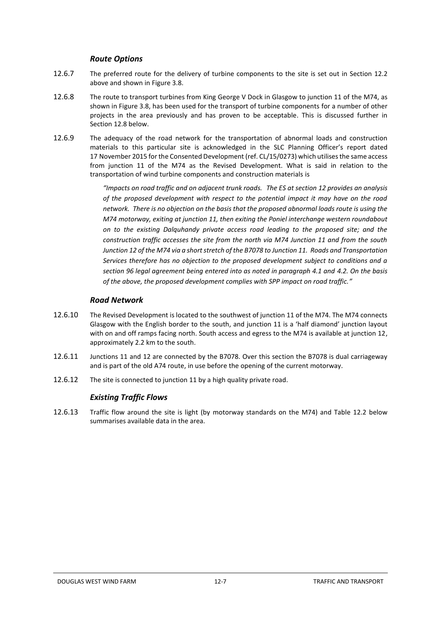#### *Route Options*

- 12.6.7 The preferred route for the delivery of turbine components to the site is set out in Section 12.2 above and shown in Figure 3.8.
- 12.6.8 The route to transport turbines from King George V Dock in Glasgow to junction 11 of the M74, as shown in Figure 3.8, has been used for the transport of turbine components for a number of other projects in the area previously and has proven to be acceptable. This is discussed further in Section 12.8 below.
- 12.6.9 The adequacy of the road network for the transportation of abnormal loads and construction materials to this particular site is acknowledged in the SLC Planning Officer's report dated 17 November 2015 for the Consented Development (ref. CL/15/0273) which utilises the same access from junction 11 of the M74 as the Revised Development. What is said in relation to the transportation of wind turbine components and construction materials is

*"Impacts on road traffic and on adjacent trunk roads. The ES at section 12 provides an analysis of the proposed development with respect to the potential impact it may have on the road network. There is no objection on the basis that the proposed abnormal loads route is using the M74 motorway, exiting at junction 11, then exiting the Poniel interchange western roundabout on to the existing Dalquhandy private access road leading to the proposed site; and the construction traffic accesses the site from the north via M74 Junction 11 and from the south Junction 12 of the M74 via a short stretch of the B7078 to Junction 11. Roads and Transportation Services therefore has no objection to the proposed development subject to conditions and a section 96 legal agreement being entered into as noted in paragraph 4.1 and 4.2. On the basis of the above, the proposed development complies with SPP impact on road traffic."*

#### *Road Network*

- 12.6.10 The Revised Development is located to the southwest of junction 11 of the M74. The M74 connects Glasgow with the English border to the south, and junction 11 is a 'half diamond' junction layout with on and off ramps facing north. South access and egress to the M74 is available at junction 12, approximately 2.2 km to the south.
- 12.6.11 Junctions 11 and 12 are connected by the B7078. Over this section the B7078 is dual carriageway and is part of the old A74 route, in use before the opening of the current motorway.
- 12.6.12 The site is connected to junction 11 by a high quality private road.

#### *Existing Traffic Flows*

12.6.13 Traffic flow around the site is light (by motorway standards on the M74) and Table 12.2 below summarises available data in the area.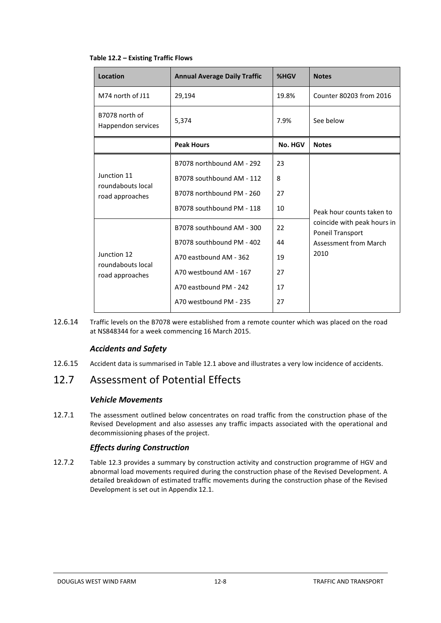#### **Table 12.2 – Existing Traffic Flows**

| <b>Location</b>                      | <b>Annual Average Daily Traffic</b> | %HGV    | <b>Notes</b>                                    |
|--------------------------------------|-------------------------------------|---------|-------------------------------------------------|
| M74 north of J11                     | 29,194                              | 19.8%   | Counter 80203 from 2016                         |
| B7078 north of<br>Happendon services | 5,374                               | 7.9%    | See below                                       |
|                                      | <b>Peak Hours</b>                   | No. HGV | <b>Notes</b>                                    |
|                                      | B7078 northbound AM - 292           | 23      |                                                 |
| Junction 11<br>roundabouts local     | B7078 southbound AM - 112           | 8       |                                                 |
| road approaches                      | B7078 northbound PM - 260           | 27      |                                                 |
|                                      | B7078 southbound PM - 118           | 10      | Peak hour counts taken to                       |
|                                      | B7078 southbound AM - 300           | 22      | coincide with peak hours in<br>Poneil Transport |
|                                      | B7078 southbound PM - 402           | 44      | Assessment from March                           |
| Junction 12<br>roundabouts local     | A70 eastbound AM - 362              | 19      | 2010                                            |
| road approaches                      | A70 westbound AM - 167              | 27      |                                                 |
|                                      | A70 eastbound PM - 242              | 17      |                                                 |
|                                      | A70 westbound PM - 235              | 27      |                                                 |

12.6.14 Traffic levels on the B7078 were established from a remote counter which was placed on the road at NS848344 for a week commencing 16 March 2015.

#### *Accidents and Safety*

12.6.15 Accident data is summarised in Table 12.1 above and illustrates a very low incidence of accidents.

# <span id="page-9-0"></span>12.7 Assessment of Potential Effects

#### *Vehicle Movements*

12.7.1 The assessment outlined below concentrates on road traffic from the construction phase of the Revised Development and also assesses any traffic impacts associated with the operational and decommissioning phases of the project.

#### *Effects during Construction*

12.7.2 Table 12.3 provides a summary by construction activity and construction programme of HGV and abnormal load movements required during the construction phase of the Revised Development. A detailed breakdown of estimated traffic movements during the construction phase of the Revised Development is set out in Appendix 12.1.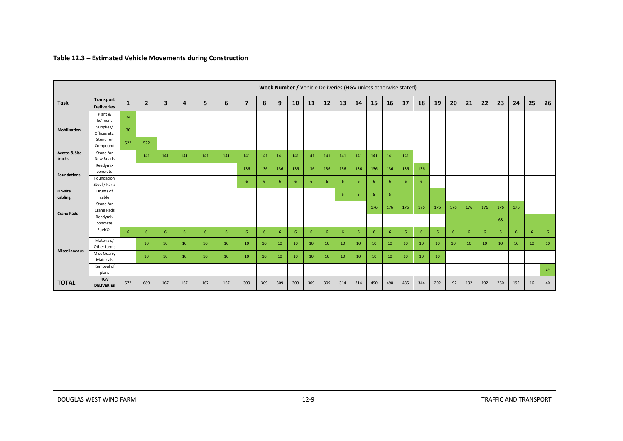#### **Table 12.3 – Estimated Vehicle Movements during Construction**

|                                    |                                       | Week Number / Vehicle Deliveries (HGV unless otherwise stated) |                |                         |     |     |     |                         |     |     |     |     |     |     |     |     |     |     |                 |                 |     |                 |     |     |     |    |    |
|------------------------------------|---------------------------------------|----------------------------------------------------------------|----------------|-------------------------|-----|-----|-----|-------------------------|-----|-----|-----|-----|-----|-----|-----|-----|-----|-----|-----------------|-----------------|-----|-----------------|-----|-----|-----|----|----|
| <b>Task</b>                        | <b>Transport</b><br><b>Deliveries</b> | $\mathbf{1}$                                                   | $\overline{2}$ | $\overline{\mathbf{3}}$ | 4   | 5   | 6   | $\overline{\mathbf{z}}$ | 8   | 9   | 10  | 11  | 12  | 13  | 14  | 15  | 16  | 17  | 18              | 19              | 20  | 21              | 22  | 23  | 24  | 25 | 26 |
|                                    | Plant &<br>Eq'ment                    | 24                                                             |                |                         |     |     |     |                         |     |     |     |     |     |     |     |     |     |     |                 |                 |     |                 |     |     |     |    |    |
| <b>Mobilisation</b>                | Supplies/<br>Offices etc.             | 20                                                             |                |                         |     |     |     |                         |     |     |     |     |     |     |     |     |     |     |                 |                 |     |                 |     |     |     |    |    |
|                                    | Stone for<br>Compound                 | 522                                                            | 522            |                         |     |     |     |                         |     |     |     |     |     |     |     |     |     |     |                 |                 |     |                 |     |     |     |    |    |
| <b>Access &amp; Site</b><br>tracks | Stone for<br>New Roads                |                                                                | 141            | 141                     | 141 | 141 | 141 | 141                     | 141 | 141 | 141 | 141 | 141 | 141 | 141 | 141 | 141 | 141 |                 |                 |     |                 |     |     |     |    |    |
| <b>Foundations</b>                 | Readymix<br>concrete                  |                                                                |                |                         |     |     |     | 136                     | 136 | 136 | 136 | 136 | 136 | 136 | 136 | 136 | 136 | 136 | 136             |                 |     |                 |     |     |     |    |    |
|                                    | Foundation<br>Steel / Parts           |                                                                |                |                         |     |     |     | 6                       | 6   | 6   | 6   | 6   | 6   | 6   | 6   | 6   | -6  | 6   | 6               |                 |     |                 |     |     |     |    |    |
| On-site<br>cabling                 | Drums of<br>cable                     |                                                                |                |                         |     |     |     |                         |     |     |     |     |     | 5   | -5  | 5   | -5  |     |                 |                 |     |                 |     |     |     |    |    |
| <b>Crane Pads</b>                  | Stone for<br>Crane Pads               |                                                                |                |                         |     |     |     |                         |     |     |     |     |     |     |     | 176 | 176 | 176 | 176             | 176             | 176 | 176             | 176 | 176 | 176 |    |    |
|                                    | Readymix<br>concrete                  |                                                                |                |                         |     |     |     |                         |     |     |     |     |     |     |     |     |     |     |                 |                 |     |                 |     | 68  |     |    |    |
|                                    | Fuel/Oil                              | -6                                                             | 6              | -6                      | 6   | 6   | 6   | 6                       | 6   | 6   | 6   | 6   | -6  | 6   | 6   | 6   | -6  | 6   | 6               | 6               | 6   | -6              | 6   | 6   | -6  | 6  | -6 |
| <b>Miscellaneous</b>               | Materials/<br>Other Items             |                                                                | 10             | 10                      | 10  | 10  | 10  | 10                      | 10  | 10  | 10  | 10  | 10  | 10  | 10  | 10  | 10  | 10  | 10 <sup>°</sup> | 10              | 10  | 10 <sup>°</sup> | 10  | 10  | 10  | 10 | 10 |
|                                    | Misc Quarry<br>Materials              |                                                                | 10             | 10                      | 10  | 10  | 10  | 10                      | 10  | 10  | 10  | 10  | 10  | 10  | 10  | 10  | 10  | 10  | 10              | 10 <sup>°</sup> |     |                 |     |     |     |    |    |
|                                    | Removal of<br>plant                   |                                                                |                |                         |     |     |     |                         |     |     |     |     |     |     |     |     |     |     |                 |                 |     |                 |     |     |     |    | 24 |
| <b>TOTAL</b>                       | <b>HGV</b><br><b>DELIVERIES</b>       | 572                                                            | 689            | 167                     | 167 | 167 | 167 | 309                     | 309 | 309 | 309 | 309 | 309 | 314 | 314 | 490 | 490 | 485 | 344             | 202             | 192 | 192             | 192 | 260 | 192 | 16 | 40 |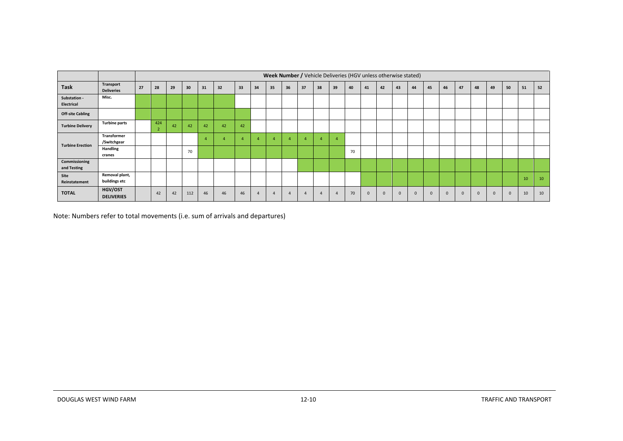|                              |                                       |    | Week Number / Vehicle Deliveries (HGV unless otherwise stated) |    |     |    |    |    |          |    |          |    |                |                |    |              |    |          |          |          |              |          |              |              |          |    |    |
|------------------------------|---------------------------------------|----|----------------------------------------------------------------|----|-----|----|----|----|----------|----|----------|----|----------------|----------------|----|--------------|----|----------|----------|----------|--------------|----------|--------------|--------------|----------|----|----|
| <b>Task</b>                  | <b>Transport</b><br><b>Deliveries</b> | 27 | 28                                                             | 29 | 30  | 31 | 32 | 33 | 34       | 35 | 36       | 37 | 38             | 39             | 40 | 41           | 42 | 43       | 44       | 45       | 46           | 47       | 48           | 49           | 50       | 51 | 52 |
| Substation -<br>Electrical   | Misc.                                 |    |                                                                |    |     |    |    |    |          |    |          |    |                |                |    |              |    |          |          |          |              |          |              |              |          |    |    |
| <b>Off-site Cabling</b>      |                                       |    |                                                                |    |     |    |    |    |          |    |          |    |                |                |    |              |    |          |          |          |              |          |              |              |          |    |    |
| <b>Turbine Delivery</b>      | <b>Turbine parts</b>                  |    | 424                                                            | 42 | 42  | 42 | 42 | 42 |          |    |          |    |                |                |    |              |    |          |          |          |              |          |              |              |          |    |    |
|                              | Transformer<br>/Switchgear            |    |                                                                |    |     |    |    |    |          |    |          |    |                |                |    |              |    |          |          |          |              |          |              |              |          |    |    |
| <b>Turbine Erection</b>      | Handling<br>cranes                    |    |                                                                |    | 70  |    |    |    |          |    |          |    |                |                | 70 |              |    |          |          |          |              |          |              |              |          |    |    |
| Commissioning<br>and Testing |                                       |    |                                                                |    |     |    |    |    |          |    |          |    |                |                |    |              |    |          |          |          |              |          |              |              |          |    |    |
| Site<br>Reinstatement        | Removal plant,<br>buildings etc       |    |                                                                |    |     |    |    |    |          |    |          |    |                |                |    |              |    |          |          |          |              |          |              |              |          | 10 | 10 |
| <b>TOTAL</b>                 | HGV/OST<br><b>DELIVERIES</b>          |    | 42                                                             | 42 | 112 | 46 | 46 | 46 | $\Delta$ |    | $\Delta$ |    | $\overline{4}$ | $\overline{4}$ | 70 | $\mathbf{0}$ |    | $\Omega$ | $\Omega$ | $\Omega$ | $\mathbf{0}$ | $\Omega$ | $\mathbf{0}$ | $\mathbf{0}$ | $\Omega$ | 10 | 10 |

Note: Numbers refer to total movements (i.e. sum of arrivals and departures)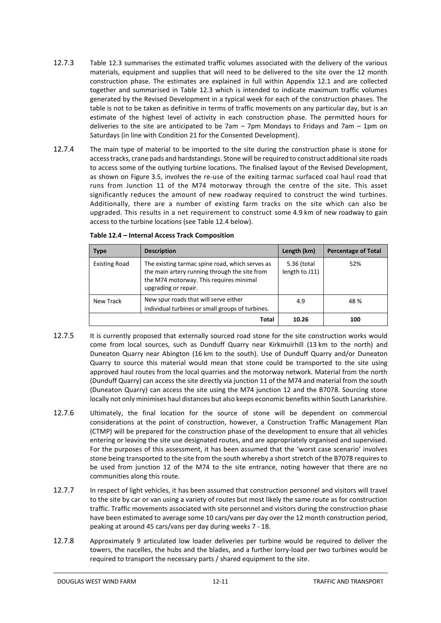- 12.7.3 Table 12.3 summarises the estimated traffic volumes associated with the delivery of the various materials, equipment and supplies that will need to be delivered to the site over the 12 month construction phase. The estimates are explained in full within Appendix 12.1 and are collected together and summarised in Table 12.3 which is intended to indicate maximum traffic volumes generated by the Revised Development in a typical week for each of the construction phases. The table is not to be taken as definitive in terms of traffic movements on any particular day, but is an estimate of the highest level of activity in each construction phase. The permitted hours for deliveries to the site are anticipated to be  $7am - 7pm$  Mondays to Fridays and  $7am - 1pm$  on Saturdays (in line with Condition 21 for the Consented Development).
- 12.7.4 The main type of material to be imported to the site during the construction phase is stone for access tracks, crane pads and hardstandings. Stone will be required to construct additional site roads to access some of the outlying turbine locations. The finalised layout of the Revised Development, as shown on Figure 3.5, involves the re-use of the exiting tarmac surfaced coal haul road that runs from Junction 11 of the M74 motorway through the centre of the site. This asset significantly reduces the amount of new roadway required to construct the wind turbines. Additionally, there are a number of existing farm tracks on the site which can also be upgraded. This results in a net requirement to construct some 4.9 km of new roadway to gain access to the turbine locations (see Table 12.4 below).

| <b>Type</b>          | <b>Description</b>                                                                                                                                                  | Length (km)                   | <b>Percentage of Total</b> |
|----------------------|---------------------------------------------------------------------------------------------------------------------------------------------------------------------|-------------------------------|----------------------------|
| <b>Existing Road</b> | The existing tarmac spine road, which serves as<br>the main artery running through the site from<br>the M74 motorway. This requires minimal<br>upgrading or repair. | 5.36 (total<br>length to J11) | 52%                        |
| New Track            | New spur roads that will serve either<br>individual turbines or small groups of turbines.                                                                           | 4.9                           | 48 %                       |
|                      | Total                                                                                                                                                               | 10.26                         | 100                        |

| Table 12.4 - Internal Access Track Composition |  |
|------------------------------------------------|--|
|------------------------------------------------|--|

- 12.7.5 It is currently proposed that externally sourced road stone for the site construction works would come from local sources, such as Dunduff Quarry near Kirkmuirhill (13 km to the north) and Duneaton Quarry near Abington (16 km to the south). Use of Dunduff Quarry and/or Duneaton Quarry to source this material would mean that stone could be transported to the site using approved haul routes from the local quarries and the motorway network. Material from the north (Dunduff Quarry) can access the site directly via junction 11 of the M74 and material from the south (Duneaton Quarry) can access the site using the M74 junction 12 and the B7078. Sourcing stone locally not only minimises haul distances but also keeps economic benefits within South Lanarkshire.
- 12.7.6 Ultimately, the final location for the source of stone will be dependent on commercial considerations at the point of construction, however, a Construction Traffic Management Plan (CTMP) will be prepared for the construction phase of the development to ensure that all vehicles entering or leaving the site use designated routes, and are appropriately organised and supervised. For the purposes of this assessment, it has been assumed that the 'worst case scenario' involves stone being transported to the site from the south whereby a short stretch of the B7078 requires to be used from junction 12 of the M74 to the site entrance, noting however that there are no communities along this route.
- 12.7.7 In respect of light vehicles, it has been assumed that construction personnel and visitors will travel to the site by car or van using a variety of routes but most likely the same route as for construction traffic. Traffic movements associated with site personnel and visitors during the construction phase have been estimated to average some 10 cars/vans per day over the 12 month construction period, peaking at around 45 cars/vans per day during weeks 7 - 18.
- 12.7.8 Approximately 9 articulated low loader deliveries per turbine would be required to deliver the towers, the nacelles, the hubs and the blades, and a further lorry-load per two turbines would be required to transport the necessary parts / shared equipment to the site.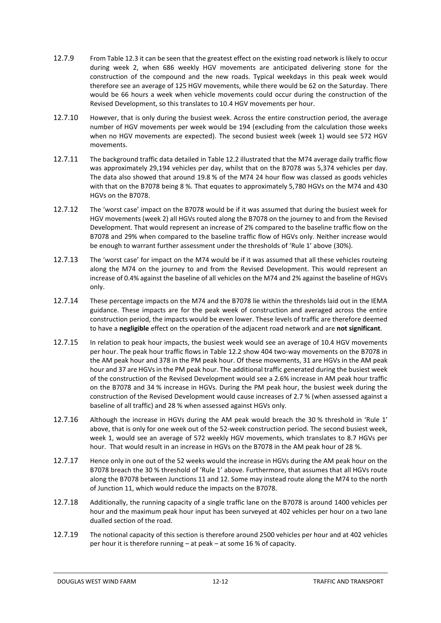- 12.7.9 From Table 12.3 it can be seen that the greatest effect on the existing road network is likely to occur during week 2, when 686 weekly HGV movements are anticipated delivering stone for the construction of the compound and the new roads. Typical weekdays in this peak week would therefore see an average of 125 HGV movements, while there would be 62 on the Saturday. There would be 66 hours a week when vehicle movements could occur during the construction of the Revised Development, so this translates to 10.4 HGV movements per hour.
- 12.7.10 However, that is only during the busiest week. Across the entire construction period, the average number of HGV movements per week would be 194 (excluding from the calculation those weeks when no HGV movements are expected). The second busiest week (week 1) would see 572 HGV movements.
- 12.7.11 The background traffic data detailed in Table 12.2 illustrated that the M74 average daily traffic flow was approximately 29,194 vehicles per day, whilst that on the B7078 was 5,374 vehicles per day. The data also showed that around 19.8 % of the M74 24 hour flow was classed as goods vehicles with that on the B7078 being 8 %. That equates to approximately 5,780 HGVs on the M74 and 430 HGVs on the B7078.
- 12.7.12 The 'worst case' impact on the B7078 would be if it was assumed that during the busiest week for HGV movements (week 2) all HGVs routed along the B7078 on the journey to and from the Revised Development. That would represent an increase of 2% compared to the baseline traffic flow on the B7078 and 29% when compared to the baseline traffic flow of HGVs only. Neither increase would be enough to warrant further assessment under the thresholds of 'Rule 1' above (30%).
- 12.7.13 The 'worst case' for impact on the M74 would be if it was assumed that all these vehicles routeing along the M74 on the journey to and from the Revised Development. This would represent an increase of 0.4% against the baseline of all vehicles on the M74 and 2% against the baseline of HGVs only.
- 12.7.14 These percentage impacts on the M74 and the B7078 lie within the thresholds laid out in the IEMA guidance. These impacts are for the peak week of construction and averaged across the entire construction period, the impacts would be even lower. These levels of traffic are therefore deemed to have a **negligible** effect on the operation of the adjacent road network and are **not significant**.
- 12.7.15 In relation to peak hour impacts, the busiest week would see an average of 10.4 HGV movements per hour. The peak hour traffic flows in Table 12.2 show 404 two-way movements on the B7078 in the AM peak hour and 378 in the PM peak hour. Of these movements, 31 are HGVs in the AM peak hour and 37 are HGVs in the PM peak hour. The additional traffic generated during the busiest week of the construction of the Revised Development would see a 2.6% increase in AM peak hour traffic on the B7078 and 34 % increase in HGVs. During the PM peak hour, the busiest week during the construction of the Revised Development would cause increases of 2.7 % (when assessed against a baseline of all traffic) and 28 % when assessed against HGVs only.
- 12.7.16 Although the increase in HGVs during the AM peak would breach the 30 % threshold in 'Rule 1' above, that is only for one week out of the 52-week construction period. The second busiest week, week 1, would see an average of 572 weekly HGV movements, which translates to 8.7 HGVs per hour. That would result in an increase in HGVs on the B7078 in the AM peak hour of 28 %.
- 12.7.17 Hence only in one out of the 52 weeks would the increase in HGVs during the AM peak hour on the B7078 breach the 30 % threshold of 'Rule 1' above. Furthermore, that assumes that all HGVs route along the B7078 between Junctions 11 and 12. Some may instead route along the M74 to the north of Junction 11, which would reduce the impacts on the B7078.
- 12.7.18 Additionally, the running capacity of a single traffic lane on the B7078 is around 1400 vehicles per hour and the maximum peak hour input has been surveyed at 402 vehicles per hour on a two lane dualled section of the road.
- 12.7.19 The notional capacity of this section is therefore around 2500 vehicles per hour and at 402 vehicles per hour it is therefore running – at peak – at some 16 % of capacity.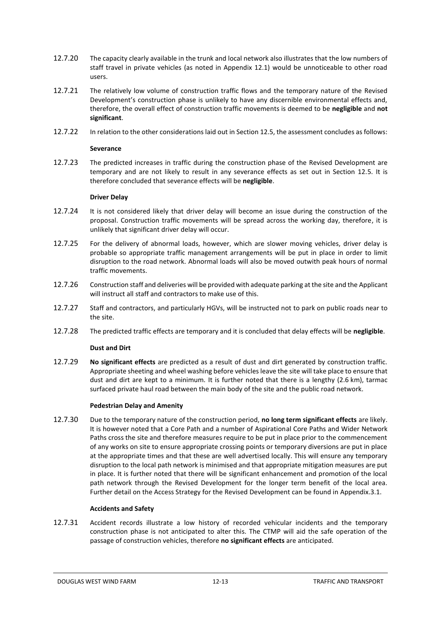- 12.7.20 The capacity clearly available in the trunk and local network also illustrates that the low numbers of staff travel in private vehicles (as noted in Appendix 12.1) would be unnoticeable to other road users.
- 12.7.21 The relatively low volume of construction traffic flows and the temporary nature of the Revised Development's construction phase is unlikely to have any discernible environmental effects and, therefore, the overall effect of construction traffic movements is deemed to be **negligible** and **not significant**.
- 12.7.22 In relation to the other considerations laid out in Section 12.5, the assessment concludes as follows:

#### **Severance**

12.7.23 The predicted increases in traffic during the construction phase of the Revised Development are temporary and are not likely to result in any severance effects as set out in Section 12.5. It is therefore concluded that severance effects will be **negligible**.

#### **Driver Delay**

- 12.7.24 It is not considered likely that driver delay will become an issue during the construction of the proposal. Construction traffic movements will be spread across the working day, therefore, it is unlikely that significant driver delay will occur.
- 12.7.25 For the delivery of abnormal loads, however, which are slower moving vehicles, driver delay is probable so appropriate traffic management arrangements will be put in place in order to limit disruption to the road network. Abnormal loads will also be moved outwith peak hours of normal traffic movements.
- 12.7.26 Construction staff and deliveries will be provided with adequate parking at the site and the Applicant will instruct all staff and contractors to make use of this.
- 12.7.27 Staff and contractors, and particularly HGVs, will be instructed not to park on public roads near to the site.
- 12.7.28 The predicted traffic effects are temporary and it is concluded that delay effects will be **negligible**.

#### **Dust and Dirt**

12.7.29 **No significant effects** are predicted as a result of dust and dirt generated by construction traffic. Appropriate sheeting and wheel washing before vehicles leave the site will take place to ensure that dust and dirt are kept to a minimum. It is further noted that there is a lengthy (2.6 km), tarmac surfaced private haul road between the main body of the site and the public road network.

#### **Pedestrian Delay and Amenity**

12.7.30 Due to the temporary nature of the construction period, **no long term significant effects** are likely. It is however noted that a Core Path and a number of Aspirational Core Paths and Wider Network Paths cross the site and therefore measures require to be put in place prior to the commencement of any works on site to ensure appropriate crossing points or temporary diversions are put in place at the appropriate times and that these are well advertised locally. This will ensure any temporary disruption to the local path network is minimised and that appropriate mitigation measures are put in place. It is further noted that there will be significant enhancement and promotion of the local path network through the Revised Development for the longer term benefit of the local area. Further detail on the Access Strategy for the Revised Development can be found in Appendix.3.1.

#### **Accidents and Safety**

12.7.31 Accident records illustrate a low history of recorded vehicular incidents and the temporary construction phase is not anticipated to alter this. The CTMP will aid the safe operation of the passage of construction vehicles, therefore **no significant effects** are anticipated.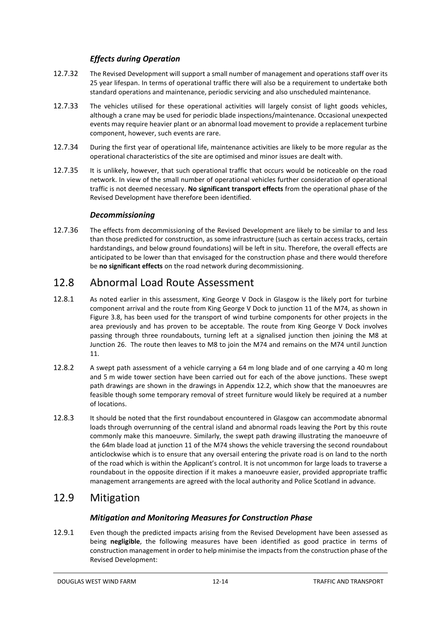#### *Effects during Operation*

- 12.7.32 The Revised Development will support a small number of management and operations staff over its 25 year lifespan. In terms of operational traffic there will also be a requirement to undertake both standard operations and maintenance, periodic servicing and also unscheduled maintenance.
- 12.7.33 The vehicles utilised for these operational activities will largely consist of light goods vehicles, although a crane may be used for periodic blade inspections/maintenance. Occasional unexpected events may require heavier plant or an abnormal load movement to provide a replacement turbine component, however, such events are rare.
- 12.7.34 During the first year of operational life, maintenance activities are likely to be more regular as the operational characteristics of the site are optimised and minor issues are dealt with.
- 12.7.35 It is unlikely, however, that such operational traffic that occurs would be noticeable on the road network. In view of the small number of operational vehicles further consideration of operational traffic is not deemed necessary. **No significant transport effects** from the operational phase of the Revised Development have therefore been identified.

#### *Decommissioning*

12.7.36 The effects from decommissioning of the Revised Development are likely to be similar to and less than those predicted for construction, as some infrastructure (such as certain access tracks, certain hardstandings, and below ground foundations) will be left in situ. Therefore, the overall effects are anticipated to be lower than that envisaged for the construction phase and there would therefore be **no significant effects** on the road network during decommissioning.

## <span id="page-15-0"></span>12.8 Abnormal Load Route Assessment

- 12.8.1 As noted earlier in this assessment, King George V Dock in Glasgow is the likely port for turbine component arrival and the route from King George V Dock to junction 11 of the M74, as shown in Figure 3.8, has been used for the transport of wind turbine components for other projects in the area previously and has proven to be acceptable. The route from King George V Dock involves passing through three roundabouts, turning left at a signalised junction then joining the M8 at Junction 26. The route then leaves to M8 to join the M74 and remains on the M74 until Junction 11.
- 12.8.2 A swept path assessment of a vehicle carrying a 64 m long blade and of one carrying a 40 m long and 5 m wide tower section have been carried out for each of the above junctions. These swept path drawings are shown in the drawings in Appendix 12.2, which show that the manoeuvres are feasible though some temporary removal of street furniture would likely be required at a number of locations.
- 12.8.3 It should be noted that the first roundabout encountered in Glasgow can accommodate abnormal loads through overrunning of the central island and abnormal roads leaving the Port by this route commonly make this manoeuvre. Similarly, the swept path drawing illustrating the manoeuvre of the 64m blade load at junction 11 of the M74 shows the vehicle traversing the second roundabout anticlockwise which is to ensure that any oversail entering the private road is on land to the north of the road which is within the Applicant's control. It is not uncommon for large loads to traverse a roundabout in the opposite direction if it makes a manoeuvre easier, provided appropriate traffic management arrangements are agreed with the local authority and Police Scotland in advance.

## <span id="page-15-1"></span>12.9 Mitigation

#### *Mitigation and Monitoring Measures for Construction Phase*

12.9.1 Even though the predicted impacts arising from the Revised Development have been assessed as being **negligible**, the following measures have been identified as good practice in terms of construction management in order to help minimise the impacts from the construction phase of the Revised Development: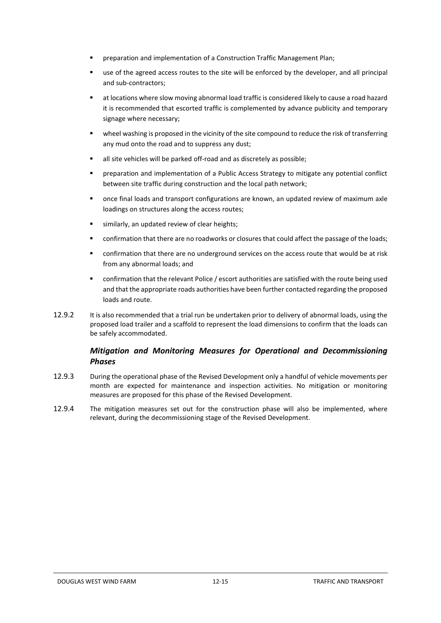- **•** preparation and implementation of a Construction Traffic Management Plan;
- use of the agreed access routes to the site will be enforced by the developer, and all principal and sub-contractors;
- at locations where slow moving abnormal load traffic is considered likely to cause a road hazard it is recommended that escorted traffic is complemented by advance publicity and temporary signage where necessary;
- **•** wheel washing is proposed in the vicinity of the site compound to reduce the risk of transferring any mud onto the road and to suppress any dust;
- all site vehicles will be parked off-road and as discretely as possible;
- preparation and implementation of a Public Access Strategy to mitigate any potential conflict between site traffic during construction and the local path network;
- once final loads and transport configurations are known, an updated review of maximum axle loadings on structures along the access routes;
- similarly, an updated review of clear heights;
- confirmation that there are no roadworks or closures that could affect the passage of the loads;
- confirmation that there are no underground services on the access route that would be at risk from any abnormal loads; and
- confirmation that the relevant Police / escort authorities are satisfied with the route being used and that the appropriate roads authorities have been further contacted regarding the proposed loads and route.
- 12.9.2 It is also recommended that a trial run be undertaken prior to delivery of abnormal loads, using the proposed load trailer and a scaffold to represent the load dimensions to confirm that the loads can be safely accommodated.

#### *Mitigation and Monitoring Measures for Operational and Decommissioning Phases*

- 12.9.3 During the operational phase of the Revised Development only a handful of vehicle movements per month are expected for maintenance and inspection activities. No mitigation or monitoring measures are proposed for this phase of the Revised Development.
- 12.9.4 The mitigation measures set out for the construction phase will also be implemented, where relevant, during the decommissioning stage of the Revised Development.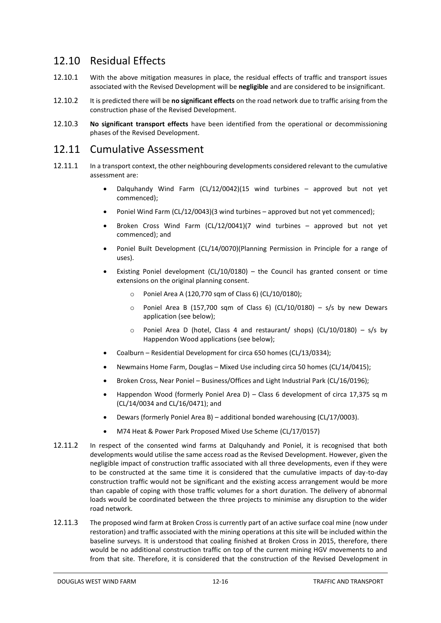## <span id="page-17-0"></span>12.10 Residual Effects

- 12.10.1 With the above mitigation measures in place, the residual effects of traffic and transport issues associated with the Revised Development will be **negligible** and are considered to be insignificant.
- 12.10.2 It is predicted there will be **no significant effects** on the road network due to traffic arising from the construction phase of the Revised Development.
- 12.10.3 **No significant transport effects** have been identified from the operational or decommissioning phases of the Revised Development.

### <span id="page-17-1"></span>12.11 Cumulative Assessment

- 12.11.1 In a transport context, the other neighbouring developments considered relevant to the cumulative assessment are:
	- Dalquhandy Wind Farm (CL/12/0042)(15 wind turbines approved but not yet commenced);
	- Poniel Wind Farm (CL/12/0043)(3 wind turbines approved but not yet commenced);
	- Broken Cross Wind Farm (CL/12/0041)(7 wind turbines approved but not yet commenced); and
	- Poniel Built Development (CL/14/0070)(Planning Permission in Principle for a range of uses).
	- Existing Poniel development (CL/10/0180) the Council has granted consent or time extensions on the original planning consent.
		- o Poniel Area A (120,770 sqm of Class 6) (CL/10/0180);
		- $\circ$  Poniel Area B (157,700 sqm of Class 6) (CL/10/0180) s/s by new Dewars application (see below);
		- $\circ$  Poniel Area D (hotel, Class 4 and restaurant/ shops) (CL/10/0180) s/s by Happendon Wood applications (see below);
	- Coalburn Residential Development for circa 650 homes (CL/13/0334);
	- Newmains Home Farm, Douglas Mixed Use including circa 50 homes (CL/14/0415);
	- Broken Cross, Near Poniel Business/Offices and Light Industrial Park (CL/16/0196);
	- Happendon Wood (formerly Poniel Area D) Class 6 development of circa 17,375 sq m (CL/14/0034 and CL/16/0471); and
	- Dewars (formerly Poniel Area B) additional bonded warehousing (CL/17/0003).
	- M74 Heat & Power Park Proposed Mixed Use Scheme [\(CL/17/0157\)](http://pbsportal.southlanarkshire.gov.uk/Northgate/PlanningExplorer/Generic/StdDetails.aspx?PT=Planning%20Applications%20On-Line&TYPE=PL/PlanningPK.xml&PARAM0=124665&XSLT=/Northgate/PlanningExplorer/SiteFiles/Skins/SouthLanarkshire/xslt/PL/PLDetails.xslt&FT=Planning%20Application%20Details&PUBLIC=Y&XMLSIDE=/Northgate/PlanningExplorer/SiteFiles/Skins/SouthLanarkshire/Menus/PL.xml&DAURI=PLANNING)
- 12.11.2 In respect of the consented wind farms at Dalquhandy and Poniel, it is recognised that both developments would utilise the same access road as the Revised Development. However, given the negligible impact of construction traffic associated with all three developments, even if they were to be constructed at the same time it is considered that the cumulative impacts of day-to-day construction traffic would not be significant and the existing access arrangement would be more than capable of coping with those traffic volumes for a short duration. The delivery of abnormal loads would be coordinated between the three projects to minimise any disruption to the wider road network.
- 12.11.3 The proposed wind farm at Broken Cross is currently part of an active surface coal mine (now under restoration) and traffic associated with the mining operations at this site will be included within the baseline surveys. It is understood that coaling finished at Broken Cross in 2015, therefore, there would be no additional construction traffic on top of the current mining HGV movements to and from that site. Therefore, it is considered that the construction of the Revised Development in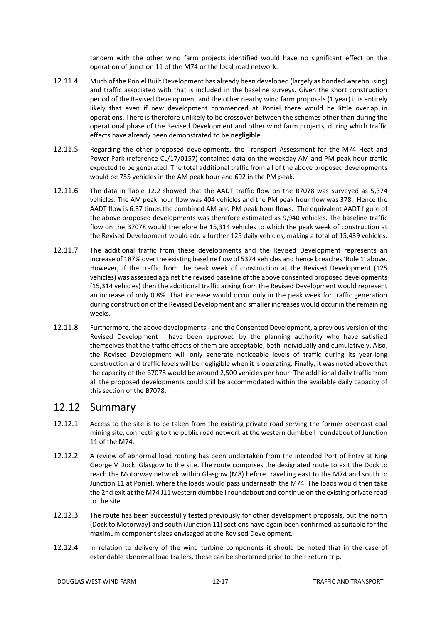tandem with the other wind farm projects identified would have no significant effect on the operation of junction 11 of the M74 or the local road network.

- 12.11.4 Much of the Poniel Built Development has already been developed (largely as bonded warehousing) and traffic associated with that is included in the baseline surveys. Given the short construction period of the Revised Development and the other nearby wind farm proposals (1 year) it is entirely likely that even if new development commenced at Poniel there would be little overlap in operations. There is therefore unlikely to be crossover between the schemes other than during the operational phase of the Revised Development and other wind farm projects, during which traffic effects have already been demonstrated to be **negligible**.
- 12.11.5 Regarding the other proposed developments, the Transport Assessment for the M74 Heat and Power Park (reference [CL/17/0157\)](http://pbsportal.southlanarkshire.gov.uk/Northgate/PlanningExplorer/Generic/StdDetails.aspx?PT=Planning%20Applications%20On-Line&TYPE=PL/PlanningPK.xml&PARAM0=124665&XSLT=/Northgate/PlanningExplorer/SiteFiles/Skins/SouthLanarkshire/xslt/PL/PLDetails.xslt&FT=Planning%20Application%20Details&PUBLIC=Y&XMLSIDE=/Northgate/PlanningExplorer/SiteFiles/Skins/SouthLanarkshire/Menus/PL.xml&DAURI=PLANNING) contained data on the weekday AM and PM peak hour traffic expected to be generated. The total additional traffic from all of the above proposed developments would be 755 vehicles in the AM peak hour and 692 in the PM peak.
- 12.11.6 The data in Table 12.2 showed that the AADT traffic flow on the B7078 was surveyed as 5,374 vehicles. The AM peak hour flow was 404 vehicles and the PM peak hour flow was 378. Hence the AADT flow is 6.87 times the combined AM and PM peak hour flows. The equivalent AADT figure of the above proposed developments was therefore estimated as 9,940 vehicles. The baseline traffic flow on the B7078 would therefore be 15,314 vehicles to which the peak week of construction at the Revised Development would add a further 125 daily vehicles, making a total of 15,439 vehicles.
- 12.11.7 The additional traffic from these developments and the Revised Development represents an increase of 187% over the existing baseline flow of 5374 vehicles and hence breaches 'Rule 1' above. However, if the traffic from the peak week of construction at the Revised Development (125 vehicles) was assessed against the revised baseline of the above consented proposed developments (15,314 vehicles) then the additional traffic arising from the Revised Development would represent an increase of only 0.8%. That increase would occur only in the peak week for traffic generation during construction of the Revised Development and smaller increases would occur in the remaining weeks.
- 12.11.8 Furthermore, the above developments and the Consented Development, a previous version of the Revised Development - have been approved by the planning authority who have satisfied themselves that the traffic effects of them are acceptable, both individually and cumulatively. Also, the Revised Development will only generate noticeable levels of traffic during its year-long construction and traffic levels will be negligible when it is operating. Finally, it was noted above that the capacity of the B7078 would be around 2,500 vehicles per hour. The additional daily traffic from all the proposed developments could still be accommodated within the available daily capacity of this section of the B7078.

## <span id="page-18-0"></span>12.12 Summary

- 12.12.1 Access to the site is to be taken from the existing private road serving the former opencast coal mining site, connecting to the public road network at the western dumbbell roundabout of Junction 11 of the M74.
- 12.12.2 A review of abnormal load routing has been undertaken from the intended Port of Entry at King George V Dock, Glasgow to the site. The route comprises the designated route to exit the Dock to reach the Motorway network within Glasgow (M8) before travelling east to the M74 and south to Junction 11 at Poniel, where the loads would pass underneath the M74. The loads would then take the 2nd exit at the M74 J11 western dumbbell roundabout and continue on the existing private road to the site.
- 12.12.3 The route has been successfully tested previously for other development proposals, but the north (Dock to Motorway) and south (Junction 11) sections have again been confirmed as suitable for the maximum component sizes envisaged at the Revised Development.
- 12.12.4 In relation to delivery of the wind turbine components it should be noted that in the case of extendable abnormal load trailers, these can be shortened prior to their return trip.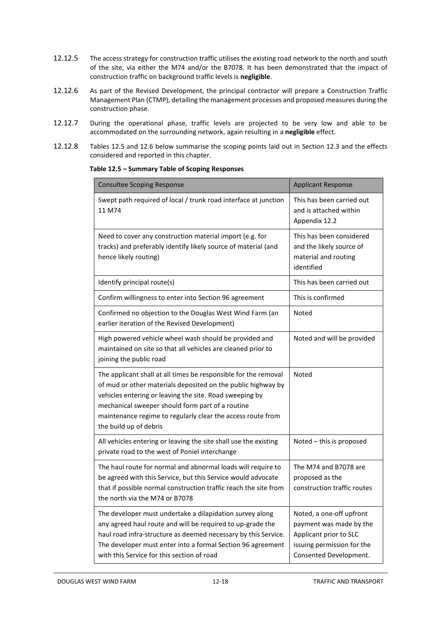- 12.12.5 The access strategy for construction traffic utilises the existing road network to the north and south of the site, via either the M74 and/or the B7078. It has been demonstrated that the impact of construction traffic on background traffic levels is **negligible**.
- 12.12.6 As part of the Revised Development, the principal contractor will prepare a Construction Traffic Management Plan (CTMP), detailing the management processes and proposed measures during the construction phase.
- 12.12.7 During the operational phase, traffic levels are projected to be very low and able to be accommodated on the surrounding network, again resulting in a **negligible** effect.
- 12.12.8 Tables 12.5 and 12.6 below summarise the scoping points laid out in Section 12.3 and the effects considered and reported in this chapter.

| <b>Consultee Scoping Response</b>                                                                                                                                                                                                                                                                                                       | <b>Applicant Response</b>                                                                                                             |
|-----------------------------------------------------------------------------------------------------------------------------------------------------------------------------------------------------------------------------------------------------------------------------------------------------------------------------------------|---------------------------------------------------------------------------------------------------------------------------------------|
| Swept path required of local / trunk road interface at junction<br>11 M74                                                                                                                                                                                                                                                               | This has been carried out<br>and is attached within<br>Appendix 12.2                                                                  |
| Need to cover any construction material import (e.g. for<br>tracks) and preferably identify likely source of material (and<br>hence likely routing)                                                                                                                                                                                     | This has been considered<br>and the likely source of<br>material and routing<br>identified                                            |
| Identify principal route(s)                                                                                                                                                                                                                                                                                                             | This has been carried out                                                                                                             |
| Confirm willingness to enter into Section 96 agreement                                                                                                                                                                                                                                                                                  | This is confirmed                                                                                                                     |
| Confirmed no objection to the Douglas West Wind Farm (an<br>earlier iteration of the Revised Development)                                                                                                                                                                                                                               | Noted                                                                                                                                 |
| High powered vehicle wheel wash should be provided and<br>maintained on site so that all vehicles are cleaned prior to<br>joining the public road                                                                                                                                                                                       | Noted and will be provided                                                                                                            |
| The applicant shall at all times be responsible for the removal<br>of mud or other materials deposited on the public highway by<br>vehicles entering or leaving the site. Road sweeping by<br>mechanical sweeper should form part of a routine<br>maintenance regime to regularly clear the access route from<br>the build up of debris | Noted                                                                                                                                 |
| All vehicles entering or leaving the site shall use the existing<br>private road to the west of Poniel interchange                                                                                                                                                                                                                      | Noted $-$ this is proposed                                                                                                            |
| The haul route for normal and abnormal loads will require to<br>be agreed with this Service, but this Service would advocate<br>that if possible normal construction traffic reach the site from<br>the north via the M74 or B7078                                                                                                      | The M74 and B7078 are<br>proposed as the<br>construction traffic routes                                                               |
| The developer must undertake a dilapidation survey along<br>any agreed haul route and will be required to up-grade the<br>haul road infra-structure as deemed necessary by this Service.<br>The developer must enter into a formal Section 96 agreement<br>with this Service for this section of road                                   | Noted, a one-off upfront<br>payment was made by the<br>Applicant prior to SLC<br>issuing permission for the<br>Consented Development. |

#### **Table 12.5 – Summary Table of Scoping Responses**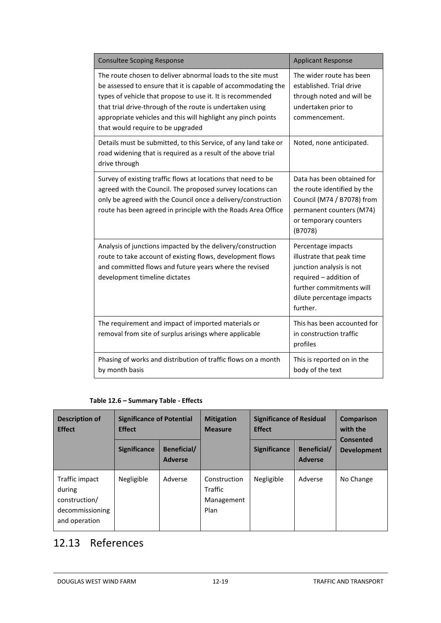| <b>Consultee Scoping Response</b>                                                                                                                                                                                                                                                                                                                             | <b>Applicant Response</b>                                                                                                                                                  |
|---------------------------------------------------------------------------------------------------------------------------------------------------------------------------------------------------------------------------------------------------------------------------------------------------------------------------------------------------------------|----------------------------------------------------------------------------------------------------------------------------------------------------------------------------|
| The route chosen to deliver abnormal loads to the site must<br>be assessed to ensure that it is capable of accommodating the<br>types of vehicle that propose to use it. It is recommended<br>that trial drive-through of the route is undertaken using<br>appropriate vehicles and this will highlight any pinch points<br>that would require to be upgraded | The wider route has been<br>established. Trial drive<br>through noted and will be<br>undertaken prior to<br>commencement.                                                  |
| Details must be submitted, to this Service, of any land take or<br>road widening that is required as a result of the above trial<br>drive through                                                                                                                                                                                                             | Noted, none anticipated.                                                                                                                                                   |
| Survey of existing traffic flows at locations that need to be<br>agreed with the Council. The proposed survey locations can<br>only be agreed with the Council once a delivery/construction<br>route has been agreed in principle with the Roads Area Office                                                                                                  | Data has been obtained for<br>the route identified by the<br>Council (M74 / B7078) from<br>permanent counters (M74)<br>or temporary counters<br>(B7078)                    |
| Analysis of junctions impacted by the delivery/construction<br>route to take account of existing flows, development flows<br>and committed flows and future years where the revised<br>development timeline dictates                                                                                                                                          | Percentage impacts<br>illustrate that peak time<br>junction analysis is not<br>required - addition of<br>further commitments will<br>dilute percentage impacts<br>further. |
| The requirement and impact of imported materials or<br>removal from site of surplus arisings where applicable                                                                                                                                                                                                                                                 | This has been accounted for<br>in construction traffic<br>profiles                                                                                                         |
| Phasing of works and distribution of traffic flows on a month<br>by month basis                                                                                                                                                                                                                                                                               | This is reported on in the<br>body of the text                                                                                                                             |

**Table 12.6 – Summary Table - Effects**

| Description of<br><b>Effect</b>                                               | <b>Significance of Potential</b><br><b>Effect</b> |                               | <b>Mitigation</b><br><b>Measure</b>                  | <b>Significance of Residual</b><br><b>Effect</b> | <b>Comparison</b><br>with the<br>Consented |                    |  |
|-------------------------------------------------------------------------------|---------------------------------------------------|-------------------------------|------------------------------------------------------|--------------------------------------------------|--------------------------------------------|--------------------|--|
|                                                                               | <b>Significance</b>                               | Beneficial/<br><b>Adverse</b> |                                                      | <b>Significance</b>                              | Beneficial/<br><b>Adverse</b>              | <b>Development</b> |  |
| Traffic impact<br>during<br>construction/<br>decommissioning<br>and operation | Negligible                                        | Adverse                       | Construction<br><b>Traffic</b><br>Management<br>Plan | Negligible                                       | Adverse                                    | No Change          |  |

# <span id="page-20-0"></span>12.13 References